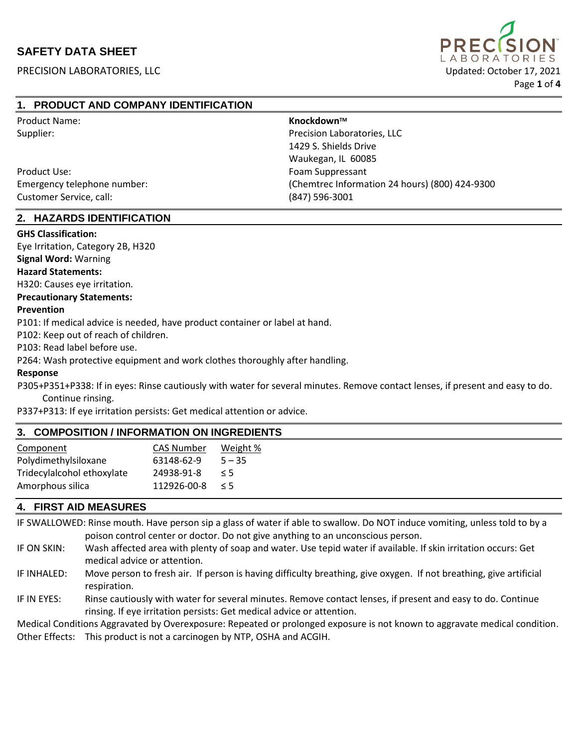# **SAFETY DATA SHEET**

PRECISION LABORATORIES, LLC Updated: October 17, 2021



# **1. PRODUCT AND COMPANY IDENTIFICATION**

| <b>Product Name:</b>        | Knockdown™                                     |
|-----------------------------|------------------------------------------------|
| Supplier:                   | Precision Laboratories, LLC                    |
|                             | 1429 S. Shields Drive                          |
|                             | Waukegan, IL 60085                             |
| Product Use:                | Foam Suppressant                               |
| Emergency telephone number: | (Chemtrec Information 24 hours) (800) 424-9300 |
| Customer Service, call:     | (847) 596-3001                                 |

#### **2. HAZARDS IDENTIFICATION**

#### **GHS Classification:**

Eye Irritation, Category 2B, H320

# **Signal Word:** Warning

**Hazard Statements:**

H320: Causes eye irritation.

#### **Precautionary Statements:**

#### **Prevention**

P101: If medical advice is needed, have product container or label at hand.

P102: Keep out of reach of children.

P103: Read label before use.

P264: Wash protective equipment and work clothes thoroughly after handling.

#### **Response**

P305+P351+P338: If in eyes: Rinse cautiously with water for several minutes. Remove contact lenses, if present and easy to do.

Continue rinsing.

P337+P313: If eye irritation persists: Get medical attention or advice.

# **3. COMPOSITION / INFORMATION ON INGREDIENTS**

| Component                  | <b>CAS Number</b> | Weight % |
|----------------------------|-------------------|----------|
| Polydimethylsiloxane       | 63148-62-9        | $5 - 35$ |
| Tridecylalcohol ethoxylate | 24938-91-8        | $\leq$ 5 |
| Amorphous silica           | 112926-00-8       | $\leq$ 5 |
|                            |                   |          |

### **4. FIRST AID MEASURES**

IF SWALLOWED: Rinse mouth. Have person sip a glass of water if able to swallow. Do NOT induce vomiting, unless told to by a poison control center or doctor. Do not give anything to an unconscious person.

- IF ON SKIN: Wash affected area with plenty of soap and water. Use tepid water if available. If skin irritation occurs: Get medical advice or attention.
- IF INHALED: Move person to fresh air. If person is having difficulty breathing, give oxygen. If not breathing, give artificial respiration.
- IF IN EYES: Rinse cautiously with water for several minutes. Remove contact lenses, if present and easy to do. Continue rinsing. If eye irritation persists: Get medical advice or attention.

Medical Conditions Aggravated by Overexposure: Repeated or prolonged exposure is not known to aggravate medical condition. Other Effects: This product is not a carcinogen by NTP, OSHA and ACGIH.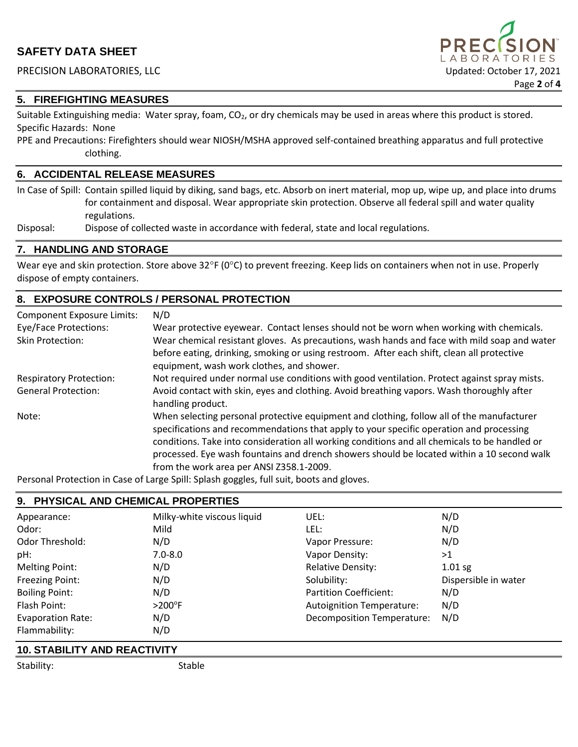

#### **5. FIREFIGHTING MEASURES**

Suitable Extinguishing media: Water spray, foam,  $CO<sub>2</sub>$ , or dry chemicals may be used in areas where this product is stored. Specific Hazards: None

PPE and Precautions: Firefighters should wear NIOSH/MSHA approved self-contained breathing apparatus and full protective clothing.

#### **6. ACCIDENTAL RELEASE MEASURES**

In Case of Spill: Contain spilled liquid by diking, sand bags, etc. Absorb on inert material, mop up, wipe up, and place into drums for containment and disposal. Wear appropriate skin protection. Observe all federal spill and water quality regulations.

Disposal: Dispose of collected waste in accordance with federal, state and local regulations.

#### **7. HANDLING AND STORAGE**

Wear eye and skin protection. Store above  $32^{\circ}F(0^{\circ}C)$  to prevent freezing. Keep lids on containers when not in use. Properly dispose of empty containers.

### **8. EXPOSURE CONTROLS / PERSONAL PROTECTION**

| <b>Component Exposure Limits:</b> | N/D                                                                                                                                                                                                                                                                                                                                                                                                                             |
|-----------------------------------|---------------------------------------------------------------------------------------------------------------------------------------------------------------------------------------------------------------------------------------------------------------------------------------------------------------------------------------------------------------------------------------------------------------------------------|
| Eye/Face Protections:             | Wear protective eyewear. Contact lenses should not be worn when working with chemicals.                                                                                                                                                                                                                                                                                                                                         |
| <b>Skin Protection:</b>           | Wear chemical resistant gloves. As precautions, wash hands and face with mild soap and water<br>before eating, drinking, smoking or using restroom. After each shift, clean all protective<br>equipment, wash work clothes, and shower.                                                                                                                                                                                         |
| <b>Respiratory Protection:</b>    | Not required under normal use conditions with good ventilation. Protect against spray mists.                                                                                                                                                                                                                                                                                                                                    |
| <b>General Protection:</b>        | Avoid contact with skin, eyes and clothing. Avoid breathing vapors. Wash thoroughly after<br>handling product.                                                                                                                                                                                                                                                                                                                  |
| Note:                             | When selecting personal protective equipment and clothing, follow all of the manufacturer<br>specifications and recommendations that apply to your specific operation and processing<br>conditions. Take into consideration all working conditions and all chemicals to be handled or<br>processed. Eye wash fountains and drench showers should be located within a 10 second walk<br>from the work area per ANSI Z358.1-2009. |

Personal Protection in Case of Large Spill: Splash goggles, full suit, boots and gloves.

# **9. PHYSICAL AND CHEMICAL PROPERTIES**

| Appearance:              | Milky-white viscous liquid | UEL:                              | N/D                  |
|--------------------------|----------------------------|-----------------------------------|----------------------|
| Odor:                    | Mild                       | LEL:                              | N/D                  |
| Odor Threshold:          | N/D                        | Vapor Pressure:                   | N/D                  |
| pH:                      | $7.0 - 8.0$                | Vapor Density:                    | >1                   |
| Melting Point:           | N/D                        | <b>Relative Density:</b>          | $1.01$ sg            |
| Freezing Point:          | N/D                        | Solubility:                       | Dispersible in water |
| <b>Boiling Point:</b>    | N/D                        | Partition Coefficient:            | N/D                  |
| Flash Point:             | $>200^\circ F$             | <b>Autoignition Temperature:</b>  | N/D                  |
| <b>Evaporation Rate:</b> | N/D                        | <b>Decomposition Temperature:</b> | N/D                  |
| Flammability:            | N/D                        |                                   |                      |

# **10. STABILITY AND REACTIVITY**

Stability: Stable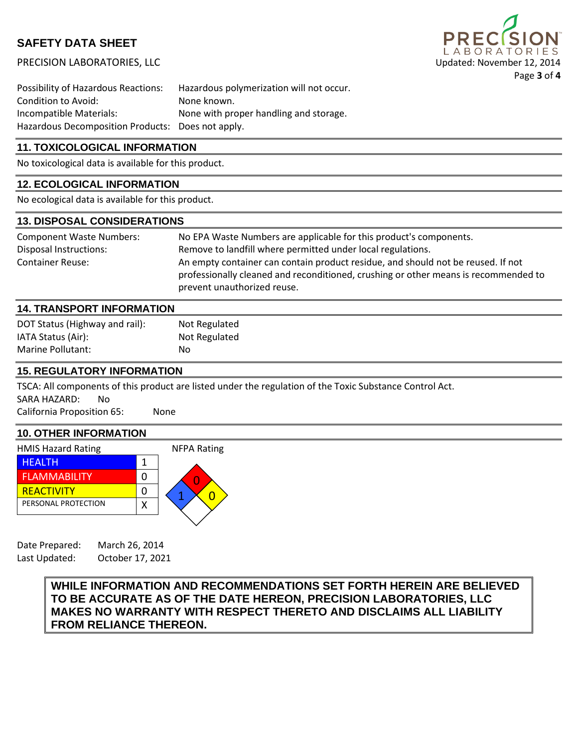# **SAFETY DATA SHEET**

PRECISION LABORATORIES, LLC Updated: November 12, 2014



Possibility of Hazardous Reactions: Hazardous polymerization will not occur. Condition to Avoid: None known. Incompatible Materials: None with proper handling and storage. Hazardous Decomposition Products: Does not apply.

## **11. TOXICOLOGICAL INFORMATION**

No toxicological data is available for this product.

## **12. ECOLOGICAL INFORMATION**

No ecological data is available for this product.

#### **13. DISPOSAL CONSIDERATIONS**

| <b>Component Waste Numbers:</b> | No EPA Waste Numbers are applicable for this product's components.                                                                                                                                     |  |
|---------------------------------|--------------------------------------------------------------------------------------------------------------------------------------------------------------------------------------------------------|--|
| Disposal Instructions:          | Remove to landfill where permitted under local regulations.                                                                                                                                            |  |
| <b>Container Reuse:</b>         | An empty container can contain product residue, and should not be reused. If not<br>professionally cleaned and reconditioned, crushing or other means is recommended to<br>prevent unauthorized reuse. |  |

#### **14. TRANSPORT INFORMATION**

| DOT Status (Highway and rail): | Not Regulated |
|--------------------------------|---------------|
| IATA Status (Air):             | Not Regulated |
| <b>Marine Pollutant:</b>       | No.           |

#### **15. REGULATORY INFORMATION**

TSCA: All components of this product are listed under the regulation of the Toxic Substance Control Act. SARA HAZARD: No

California Proposition 65: None

#### **10. OTHER INFORMATION**

| <b>HMIS Hazard Rating</b> | <b>NFPA Rating</b> |
|---------------------------|--------------------|
| HEALTH                    |                    |
| <b>FLAMMABILITY</b>       |                    |
| <b>REACTIVITY</b>         |                    |
| PERSONAL PROTECTION       |                    |
|                           |                    |

Date Prepared: March 26, 2014 Last Updated: October 17, 2021

> **WHILE INFORMATION AND RECOMMENDATIONS SET FORTH HEREIN ARE BELIEVED TO BE ACCURATE AS OF THE DATE HEREON, PRECISION LABORATORIES, LLC MAKES NO WARRANTY WITH RESPECT THERETO AND DISCLAIMS ALL LIABILITY FROM RELIANCE THEREON.**